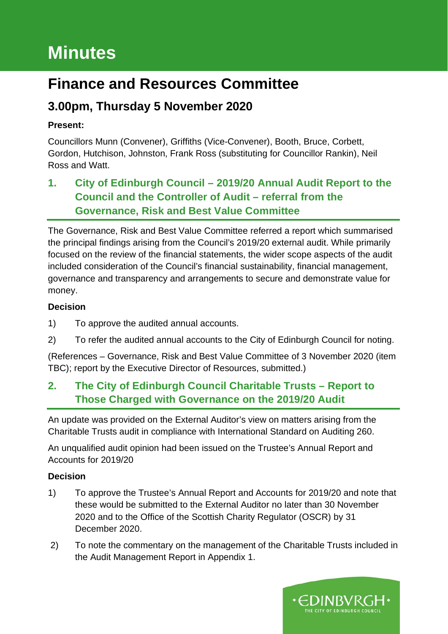# **Minutes**

# **Finance and Resources Committee**

# **3.00pm, Thursday 5 November 2020**

#### **Present:**

Councillors Munn (Convener), Griffiths (Vice-Convener), Booth, Bruce, Corbett, Gordon, Hutchison, Johnston, Frank Ross (substituting for Councillor Rankin), Neil Ross and Watt.

## **1. City of Edinburgh Council – 2019/20 Annual Audit Report to the Council and the Controller of Audit – referral from the Governance, Risk and Best Value Committee**

The Governance, Risk and Best Value Committee referred a report which summarised the principal findings arising from the Council's 2019/20 external audit. While primarily focused on the review of the financial statements, the wider scope aspects of the audit included consideration of the Council's financial sustainability, financial management, governance and transparency and arrangements to secure and demonstrate value for money.

#### **Decision**

- 1) To approve the audited annual accounts.
- 2) To refer the audited annual accounts to the City of Edinburgh Council for noting.

(References – Governance, Risk and Best Value Committee of 3 November 2020 (item TBC); report by the Executive Director of Resources, submitted.)

### **2. The City of Edinburgh Council Charitable Trusts – Report to Those Charged with Governance on the 2019/20 Audit**

An update was provided on the External Auditor's view on matters arising from the Charitable Trusts audit in compliance with International Standard on Auditing 260.

An unqualified audit opinion had been issued on the Trustee's Annual Report and Accounts for 2019/20

#### **Decision**

- 1) To approve the Trustee's Annual Report and Accounts for 2019/20 and note that these would be submitted to the External Auditor no later than 30 November 2020 and to the Office of the Scottish Charity Regulator (OSCR) by 31 December 2020.
- 2) To note the commentary on the management of the Charitable Trusts included in the Audit Management Report in Appendix 1.

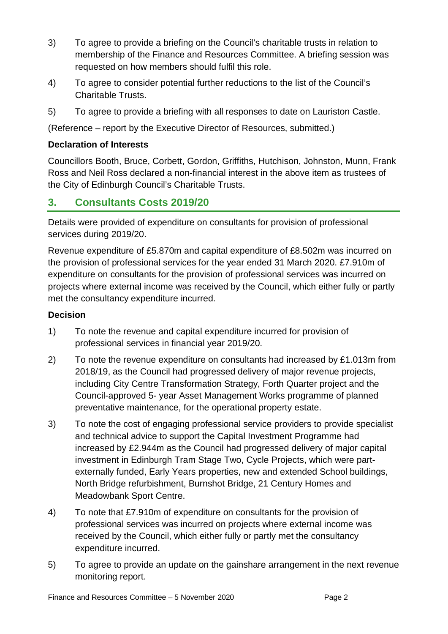- 3) To agree to provide a briefing on the Council's charitable trusts in relation to membership of the Finance and Resources Committee. A briefing session was requested on how members should fulfil this role.
- 4) To agree to consider potential further reductions to the list of the Council's Charitable Trusts.
- 5) To agree to provide a briefing with all responses to date on Lauriston Castle.

(Reference – report by the Executive Director of Resources, submitted.)

#### **Declaration of Interests**

Councillors Booth, Bruce, Corbett, Gordon, Griffiths, Hutchison, Johnston, Munn, Frank Ross and Neil Ross declared a non-financial interest in the above item as trustees of the City of Edinburgh Council's Charitable Trusts.

#### **3. Consultants Costs 2019/20**

Details were provided of expenditure on consultants for provision of professional services during 2019/20.

Revenue expenditure of £5.870m and capital expenditure of £8.502m was incurred on the provision of professional services for the year ended 31 March 2020. £7.910m of expenditure on consultants for the provision of professional services was incurred on projects where external income was received by the Council, which either fully or partly met the consultancy expenditure incurred.

#### **Decision**

- 1) To note the revenue and capital expenditure incurred for provision of professional services in financial year 2019/20.
- 2) To note the revenue expenditure on consultants had increased by £1.013m from 2018/19, as the Council had progressed delivery of major revenue projects, including City Centre Transformation Strategy, Forth Quarter project and the Council-approved 5- year Asset Management Works programme of planned preventative maintenance, for the operational property estate.
- 3) To note the cost of engaging professional service providers to provide specialist and technical advice to support the Capital Investment Programme had increased by £2.944m as the Council had progressed delivery of major capital investment in Edinburgh Tram Stage Two, Cycle Projects, which were partexternally funded, Early Years properties, new and extended School buildings, North Bridge refurbishment, Burnshot Bridge, 21 Century Homes and Meadowbank Sport Centre.
- 4) To note that £7.910m of expenditure on consultants for the provision of professional services was incurred on projects where external income was received by the Council, which either fully or partly met the consultancy expenditure incurred.
- 5) To agree to provide an update on the gainshare arrangement in the next revenue monitoring report.